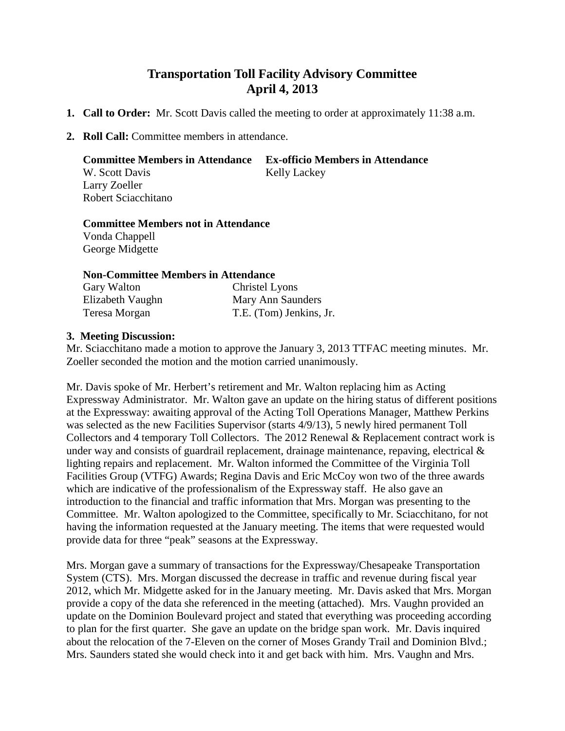## **Transportation Toll Facility Advisory Committee April 4, 2013**

- **1. Call to Order:** Mr. Scott Davis called the meeting to order at approximately 11:38 a.m.
- **2. Roll Call:** Committee members in attendance.

**Committee Members in Attendance Ex-officio Members in Attendance** W. Scott Davis Kelly Lackey Larry Zoeller Robert Sciacchitano

## **Committee Members not in Attendance**

Vonda Chappell George Midgette

## **Non-Committee Members in Attendance**

| Gary Walton      | <b>Christel Lyons</b>   |
|------------------|-------------------------|
| Elizabeth Vaughn | Mary Ann Saunders       |
| Teresa Morgan    | T.E. (Tom) Jenkins, Jr. |

## **3. Meeting Discussion:**

Mr. Sciacchitano made a motion to approve the January 3, 2013 TTFAC meeting minutes. Mr. Zoeller seconded the motion and the motion carried unanimously.

Mr. Davis spoke of Mr. Herbert's retirement and Mr. Walton replacing him as Acting Expressway Administrator. Mr. Walton gave an update on the hiring status of different positions at the Expressway: awaiting approval of the Acting Toll Operations Manager, Matthew Perkins was selected as the new Facilities Supervisor (starts 4/9/13), 5 newly hired permanent Toll Collectors and 4 temporary Toll Collectors. The 2012 Renewal & Replacement contract work is under way and consists of guardrail replacement, drainage maintenance, repaving, electrical  $\&$ lighting repairs and replacement. Mr. Walton informed the Committee of the Virginia Toll Facilities Group (VTFG) Awards; Regina Davis and Eric McCoy won two of the three awards which are indicative of the professionalism of the Expressway staff. He also gave an introduction to the financial and traffic information that Mrs. Morgan was presenting to the Committee. Mr. Walton apologized to the Committee, specifically to Mr. Sciacchitano, for not having the information requested at the January meeting. The items that were requested would provide data for three "peak" seasons at the Expressway.

Mrs. Morgan gave a summary of transactions for the Expressway/Chesapeake Transportation System (CTS). Mrs. Morgan discussed the decrease in traffic and revenue during fiscal year 2012, which Mr. Midgette asked for in the January meeting. Mr. Davis asked that Mrs. Morgan provide a copy of the data she referenced in the meeting (attached). Mrs. Vaughn provided an update on the Dominion Boulevard project and stated that everything was proceeding according to plan for the first quarter. She gave an update on the bridge span work. Mr. Davis inquired about the relocation of the 7-Eleven on the corner of Moses Grandy Trail and Dominion Blvd.; Mrs. Saunders stated she would check into it and get back with him. Mrs. Vaughn and Mrs.